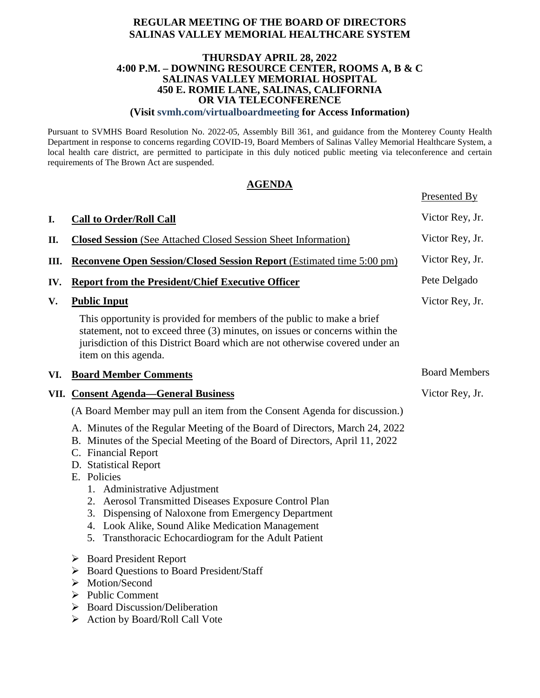## **REGULAR MEETING OF THE BOARD OF DIRECTORS SALINAS VALLEY MEMORIAL HEALTHCARE SYSTEM**

#### **THURSDAY APRIL 28, 2022 4:00 P.M. – DOWNING RESOURCE CENTER, ROOMS A, B & C SALINAS VALLEY MEMORIAL HOSPITAL 450 E. ROMIE LANE, SALINAS, CALIFORNIA OR VIA TELECONFERENCE**

**(Visit svmh.com/virtualboardmeeting for Access Information)**

Pursuant to SVMHS Board Resolution No. 2022-05, Assembly Bill 361, and guidance from the Monterey County Health Department in response to concerns regarding COVID-19, Board Members of Salinas Valley Memorial Healthcare System, a local health care district, are permitted to participate in this duly noticed public meeting via teleconference and certain requirements of The Brown Act are suspended.

## **AGENDA**

Presented By

| I.   | <b>Call to Order/Roll Call</b>                                                                                                                                                                                                                                                                                     | Victor Rey, Jr.      |
|------|--------------------------------------------------------------------------------------------------------------------------------------------------------------------------------------------------------------------------------------------------------------------------------------------------------------------|----------------------|
| Π.   | <b>Closed Session</b> (See Attached Closed Session Sheet Information)                                                                                                                                                                                                                                              | Victor Rey, Jr.      |
| Ш.   | <b>Reconvene Open Session/Closed Session Report (Estimated time 5:00 pm)</b>                                                                                                                                                                                                                                       | Victor Rey, Jr.      |
| IV.  | <b>Report from the President/Chief Executive Officer</b>                                                                                                                                                                                                                                                           | Pete Delgado         |
| V.   | <b>Public Input</b>                                                                                                                                                                                                                                                                                                | Victor Rey, Jr.      |
|      | This opportunity is provided for members of the public to make a brief<br>statement, not to exceed three (3) minutes, on issues or concerns within the<br>jurisdiction of this District Board which are not otherwise covered under an<br>item on this agenda.                                                     |                      |
| VI.  | <b>Board Member Comments</b>                                                                                                                                                                                                                                                                                       | <b>Board Members</b> |
| VII. | <b>Consent Agenda—General Business</b>                                                                                                                                                                                                                                                                             | Victor Rey, Jr.      |
|      | (A Board Member may pull an item from the Consent Agenda for discussion.)                                                                                                                                                                                                                                          |                      |
|      | A. Minutes of the Regular Meeting of the Board of Directors, March 24, 2022<br>B. Minutes of the Special Meeting of the Board of Directors, April 11, 2022<br>C. Financial Report<br>D. Statistical Report<br>E. Policies<br>1. Administrative Adjustment<br>2. Aerosol Transmitted Diseases Exposure Control Plan |                      |
|      | 3. Dispensing of Naloxone from Emergency Department<br>4. Look Alike, Sound Alike Medication Management<br>5. Transthoracic Echocardiogram for the Adult Patient                                                                                                                                                   |                      |
|      | <b>Board President Report</b><br>➤<br><b>Board Questions to Board President/Staff</b><br>➤<br>Motion/Second<br>➤<br><b>Public Comment</b><br>➤<br><b>Board Discussion/Deliberation</b><br>➤<br>Action by Board/Roll Call Vote<br>➤                                                                                 |                      |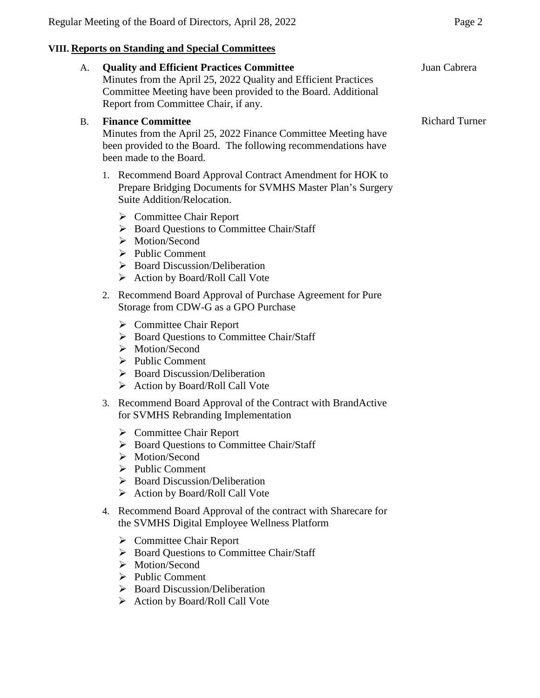# **VIII. Reports on Standing and Special Committees**

| A. |                                                                                                                                                                                         | <b>Quality and Efficient Practices Committee</b><br>Minutes from the April 25, 2022 Quality and Efficient Practices<br>Committee Meeting have been provided to the Board. Additional<br>Report from Committee Chair, if any.                                    | Juan Cabrera          |
|----|-----------------------------------------------------------------------------------------------------------------------------------------------------------------------------------------|-----------------------------------------------------------------------------------------------------------------------------------------------------------------------------------------------------------------------------------------------------------------|-----------------------|
| B. | <b>Finance Committee</b><br>Minutes from the April 25, 2022 Finance Committee Meeting have<br>been provided to the Board. The following recommendations have<br>been made to the Board. |                                                                                                                                                                                                                                                                 | <b>Richard Turner</b> |
|    |                                                                                                                                                                                         | 1. Recommend Board Approval Contract Amendment for HOK to<br>Prepare Bridging Documents for SVMHS Master Plan's Surgery<br>Suite Addition/Relocation.                                                                                                           |                       |
|    |                                                                                                                                                                                         | $\triangleright$ Committee Chair Report<br>> Board Questions to Committee Chair/Staff<br>$\triangleright$ Motion/Second<br>$\triangleright$ Public Comment<br>$\triangleright$ Board Discussion/Deliberation<br>> Action by Board/Roll Call Vote                |                       |
|    | 2.                                                                                                                                                                                      | Recommend Board Approval of Purchase Agreement for Pure<br>Storage from CDW-G as a GPO Purchase                                                                                                                                                                 |                       |
|    |                                                                                                                                                                                         | $\triangleright$ Committee Chair Report<br>> Board Questions to Committee Chair/Staff<br>> Motion/Second<br>$\triangleright$ Public Comment<br>$\triangleright$ Board Discussion/Deliberation<br>$\triangleright$ Action by Board/Roll Call Vote                |                       |
|    | 3.                                                                                                                                                                                      | Recommend Board Approval of the Contract with BrandActive<br>for SVMHS Rebranding Implementation                                                                                                                                                                |                       |
|    |                                                                                                                                                                                         | $\triangleright$ Committee Chair Report<br>> Board Questions to Committee Chair/Staff<br>Motion/Second<br>$\triangleright$ Public Comment<br>$\triangleright$ Board Discussion/Deliberation<br>> Action by Board/Roll Call Vote                                 |                       |
|    | 4.                                                                                                                                                                                      | Recommend Board Approval of the contract with Sharecare for<br>the SVMHS Digital Employee Wellness Platform                                                                                                                                                     |                       |
|    |                                                                                                                                                                                         | $\triangleright$ Committee Chair Report<br>> Board Questions to Committee Chair/Staff<br>$\triangleright$ Motion/Second<br>$\triangleright$ Public Comment<br>$\triangleright$ Board Discussion/Deliberation<br>$\triangleright$ Action by Board/Roll Call Vote |                       |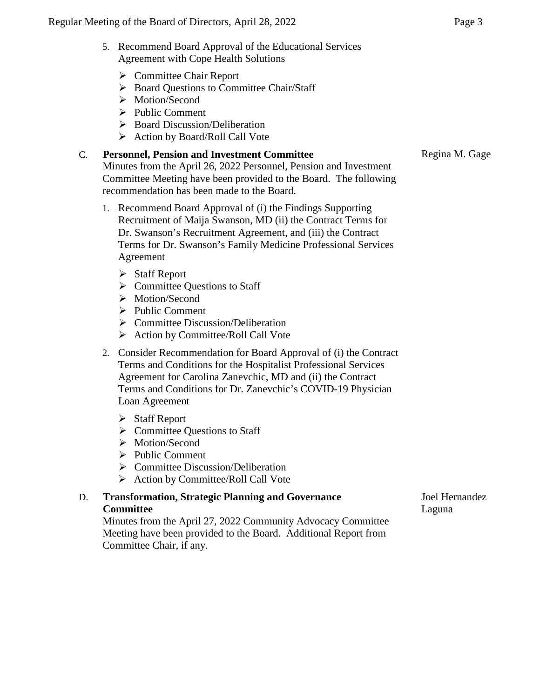- 5. Recommend Board Approval of the Educational Services Agreement with Cope Health Solutions
	- Committee Chair Report
	- ▶ Board Questions to Committee Chair/Staff
	- > Motion/Second
	- $\triangleright$  Public Comment
	- $\triangleright$  Board Discussion/Deliberation
	- $\triangleright$  Action by Board/Roll Call Vote

## C. **Personnel, Pension and Investment Committee**

Minutes from the April 26, 2022 Personnel, Pension and Investment Committee Meeting have been provided to the Board. The following recommendation has been made to the Board.

- 1. Recommend Board Approval of (i) the Findings Supporting Recruitment of Maija Swanson, MD (ii) the Contract Terms for Dr. Swanson's Recruitment Agreement, and (iii) the Contract Terms for Dr. Swanson's Family Medicine Professional Services Agreement
	- > Staff Report
	- $\triangleright$  Committee Questions to Staff
	- > Motion/Second
	- $\triangleright$  Public Comment
	- $\triangleright$  Committee Discussion/Deliberation
	- $\triangleright$  Action by Committee/Roll Call Vote
- 2. Consider Recommendation for Board Approval of (i) the Contract Terms and Conditions for the Hospitalist Professional Services Agreement for Carolina Zanevchic, MD and (ii) the Contract Terms and Conditions for Dr. Zanevchic's COVID-19 Physician Loan Agreement
	- $\triangleright$  Staff Report
	- $\triangleright$  Committee Questions to Staff
	- > Motion/Second
	- $\triangleright$  Public Comment
	- $\triangleright$  Committee Discussion/Deliberation
	- $\triangleright$  Action by Committee/Roll Call Vote

## D. **Transformation, Strategic Planning and Governance Committee**

Minutes from the April 27, 2022 Community Advocacy Committee Meeting have been provided to the Board. Additional Report from Committee Chair, if any.

Joel Hernandez Laguna

Regina M. Gage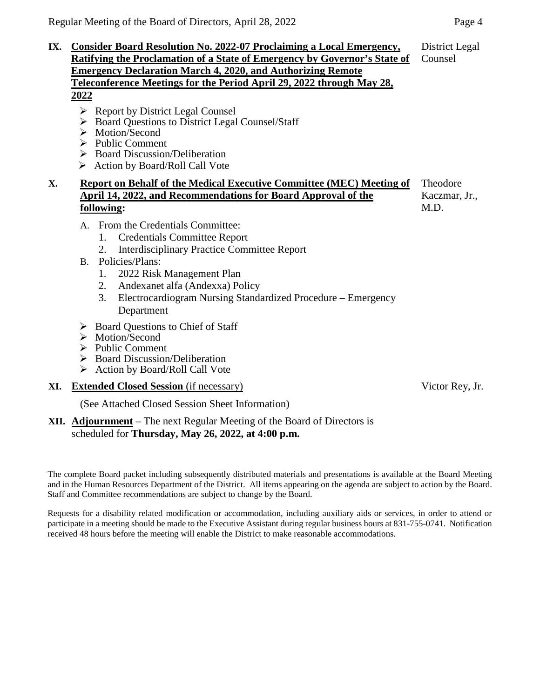- $\triangleright$  Report by District Legal Counsel
- ▶ Board Questions to District Legal Counsel/Staff
- > Motion/Second
- $\triangleright$  Public Comment
- $\triangleright$  Board Discussion/Deliberation
- Action by Board/Roll Call Vote

#### **X. Report on Behalf of the Medical Executive Committee (MEC) Meeting of April 14, 2022, and Recommendations for Board Approval of the following:** Theodore Kaczmar, Jr., M.D.

- A. From the Credentials Committee:
	- 1. Credentials Committee Report
	- 2. Interdisciplinary Practice Committee Report
- B. Policies/Plans:
	- 1. 2022 Risk Management Plan
	- 2. Andexanet alfa (Andexxa) Policy
	- 3. Electrocardiogram Nursing Standardized Procedure Emergency Department
- $\triangleright$  Board Questions to Chief of Staff
- $\triangleright$  Motion/Second
- $\triangleright$  Public Comment
- $\triangleright$  Board Discussion/Deliberation
- $\triangleright$  Action by Board/Roll Call Vote
- **XI. Extended Closed Session** (if necessary)

(See Attached Closed Session Sheet Information)

## **XII. Adjournment** – The next Regular Meeting of the Board of Directors is scheduled for **Thursday, May 26, 2022, at 4:00 p.m.**

The complete Board packet including subsequently distributed materials and presentations is available at the Board Meeting and in the Human Resources Department of the District. All items appearing on the agenda are subject to action by the Board. Staff and Committee recommendations are subject to change by the Board.

Requests for a disability related modification or accommodation, including auxiliary aids or services, in order to attend or participate in a meeting should be made to the Executive Assistant during regular business hours at 831-755-0741. Notification received 48 hours before the meeting will enable the District to make reasonable accommodations.

Victor Rey, Jr.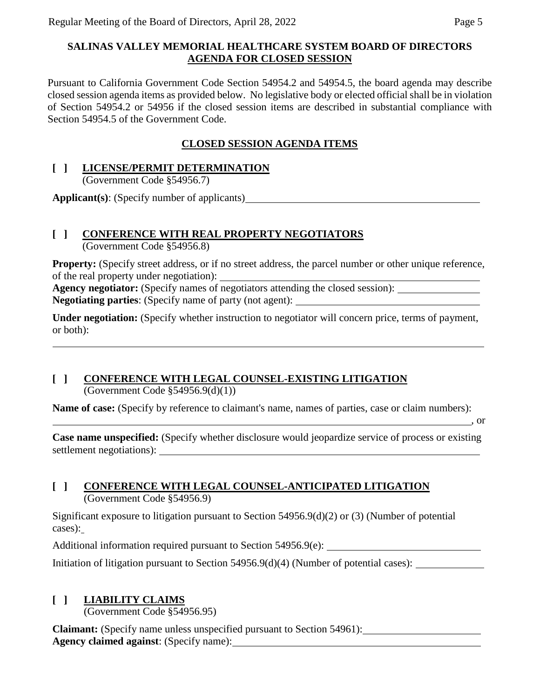# **SALINAS VALLEY MEMORIAL HEALTHCARE SYSTEM BOARD OF DIRECTORS AGENDA FOR CLOSED SESSION**

Pursuant to California Government Code Section 54954.2 and 54954.5, the board agenda may describe closed session agenda items as provided below. No legislative body or elected official shall be in violation of Section 54954.2 or 54956 if the closed session items are described in substantial compliance with Section 54954.5 of the Government Code.

# **CLOSED SESSION AGENDA ITEMS**

# **[ ] LICENSE/PERMIT DETERMINATION**

(Government Code §54956.7)

**Applicant(s)**: (Specify number of applicants)

# **[ ] CONFERENCE WITH REAL PROPERTY NEGOTIATORS**

(Government Code §54956.8)

**Property:** (Specify street address, or if no street address, the parcel number or other unique reference, of the real property under negotiation):

**Agency negotiator:** (Specify names of negotiators attending the closed session): **Negotiating parties**: (Specify name of party (not agent):

**Under negotiation:** (Specify whether instruction to negotiator will concern price, terms of payment, or both):

# **[ ] CONFERENCE WITH LEGAL COUNSEL-EXISTING LITIGATION**

(Government Code  $$54956.9(d)(1))$ )

**Name of case:** (Specify by reference to claimant's name, names of parties, case or claim numbers):

, or

**Case name unspecified:** (Specify whether disclosure would jeopardize service of process or existing settlement negotiations):

# **[ ] CONFERENCE WITH LEGAL COUNSEL-ANTICIPATED LITIGATION** (Government Code §54956.9)

Significant exposure to litigation pursuant to Section 54956.9(d)(2) or (3) (Number of potential cases):

Additional information required pursuant to Section 54956.9(e):

Initiation of litigation pursuant to Section 54956.9(d)(4) (Number of potential cases):

# **[ ] LIABILITY CLAIMS**

(Government Code §54956.95)

**Claimant:** (Specify name unless unspecified pursuant to Section 54961): **Agency claimed against**: (Specify name):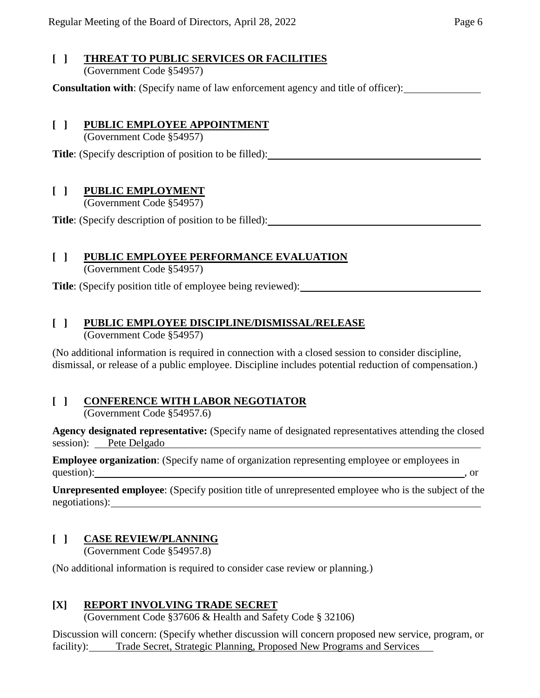## **[ ] THREAT TO PUBLIC SERVICES OR FACILITIES** (Government Code §54957)

**Consultation with**: (Specify name of law enforcement agency and title of officer):

# **[ ] PUBLIC EMPLOYEE APPOINTMENT**

(Government Code §54957)

**Title**: (Specify description of position to be filled):

# **[ ] PUBLIC EMPLOYMENT**

(Government Code §54957)

**Title**: (Specify description of position to be filled):

# **[ ] PUBLIC EMPLOYEE PERFORMANCE EVALUATION**

(Government Code §54957)

**Title**: (Specify position title of employee being reviewed):

# **[ ] PUBLIC EMPLOYEE DISCIPLINE/DISMISSAL/RELEASE**

(Government Code §54957)

(No additional information is required in connection with a closed session to consider discipline, dismissal, or release of a public employee. Discipline includes potential reduction of compensation.)

# **[ ] CONFERENCE WITH LABOR NEGOTIATOR**

(Government Code §54957.6)

**Agency designated representative:** (Specify name of designated representatives attending the closed session): Pete Delgado

**Employee organization**: (Specify name of organization representing employee or employees in question): https://www.facebook.com/discoversity/com/discoversity/com/discoversity/com/discoversity/com/discoversity/com/discoversity/com/discoversity/com/discoversity/com/discoversity/com/discoversity/com/discoversity/com

**Unrepresented employee**: (Specify position title of unrepresented employee who is the subject of the negotiations):

# **[ ] CASE REVIEW/PLANNING**

(Government Code §54957.8)

(No additional information is required to consider case review or planning.)

## **[X] REPORT INVOLVING TRADE SECRET**

(Government Code §37606 & Health and Safety Code § 32106)

Discussion will concern: (Specify whether discussion will concern proposed new service, program, or facility): Trade Secret, Strategic Planning, Proposed New Programs and Services